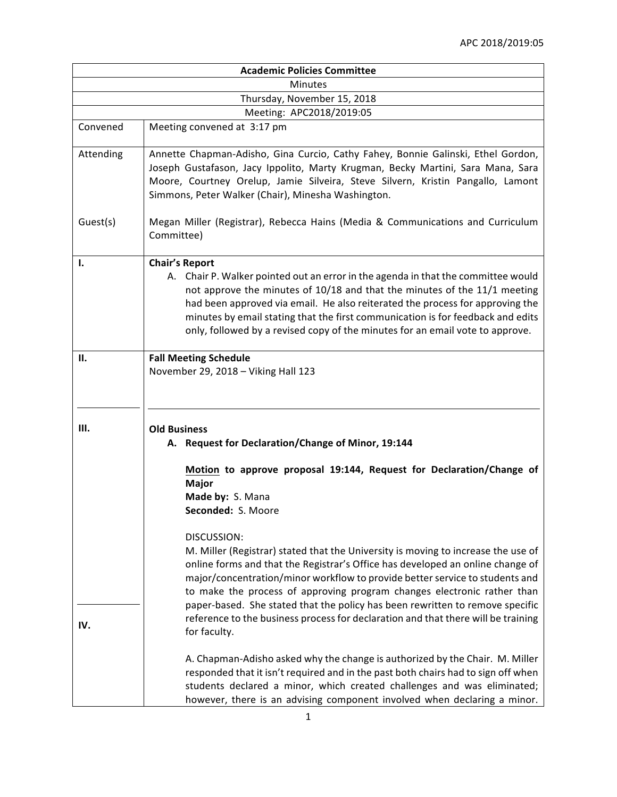|                             | <b>Academic Policies Committee</b>                                                                                                                                                                                                                                                                                                                                                                                                           |  |
|-----------------------------|----------------------------------------------------------------------------------------------------------------------------------------------------------------------------------------------------------------------------------------------------------------------------------------------------------------------------------------------------------------------------------------------------------------------------------------------|--|
| <b>Minutes</b>              |                                                                                                                                                                                                                                                                                                                                                                                                                                              |  |
| Thursday, November 15, 2018 |                                                                                                                                                                                                                                                                                                                                                                                                                                              |  |
|                             | Meeting: APC2018/2019:05                                                                                                                                                                                                                                                                                                                                                                                                                     |  |
| Convened                    | Meeting convened at 3:17 pm                                                                                                                                                                                                                                                                                                                                                                                                                  |  |
| Attending                   | Annette Chapman-Adisho, Gina Curcio, Cathy Fahey, Bonnie Galinski, Ethel Gordon,<br>Joseph Gustafason, Jacy Ippolito, Marty Krugman, Becky Martini, Sara Mana, Sara<br>Moore, Courtney Orelup, Jamie Silveira, Steve Silvern, Kristin Pangallo, Lamont<br>Simmons, Peter Walker (Chair), Minesha Washington.                                                                                                                                 |  |
| Guest(s)                    | Megan Miller (Registrar), Rebecca Hains (Media & Communications and Curriculum<br>Committee)                                                                                                                                                                                                                                                                                                                                                 |  |
| 1.                          | <b>Chair's Report</b><br>A. Chair P. Walker pointed out an error in the agenda in that the committee would<br>not approve the minutes of 10/18 and that the minutes of the 11/1 meeting<br>had been approved via email. He also reiterated the process for approving the<br>minutes by email stating that the first communication is for feedback and edits<br>only, followed by a revised copy of the minutes for an email vote to approve. |  |
| П.                          | <b>Fall Meeting Schedule</b><br>November 29, 2018 - Viking Hall 123                                                                                                                                                                                                                                                                                                                                                                          |  |
| Ш.                          | <b>Old Business</b><br>A. Request for Declaration/Change of Minor, 19:144                                                                                                                                                                                                                                                                                                                                                                    |  |
|                             | Motion to approve proposal 19:144, Request for Declaration/Change of<br><b>Major</b><br>Made by: S. Mana<br>Seconded: S. Moore                                                                                                                                                                                                                                                                                                               |  |
|                             | DISCUSSION:<br>M. Miller (Registrar) stated that the University is moving to increase the use of<br>online forms and that the Registrar's Office has developed an online change of<br>major/concentration/minor workflow to provide better service to students and<br>to make the process of approving program changes electronic rather than<br>paper-based. She stated that the policy has been rewritten to remove specific               |  |
| IV.                         | reference to the business process for declaration and that there will be training<br>for faculty.<br>A. Chapman-Adisho asked why the change is authorized by the Chair. M. Miller<br>responded that it isn't required and in the past both chairs had to sign off when<br>students declared a minor, which created challenges and was eliminated;                                                                                            |  |
|                             | however, there is an advising component involved when declaring a minor.                                                                                                                                                                                                                                                                                                                                                                     |  |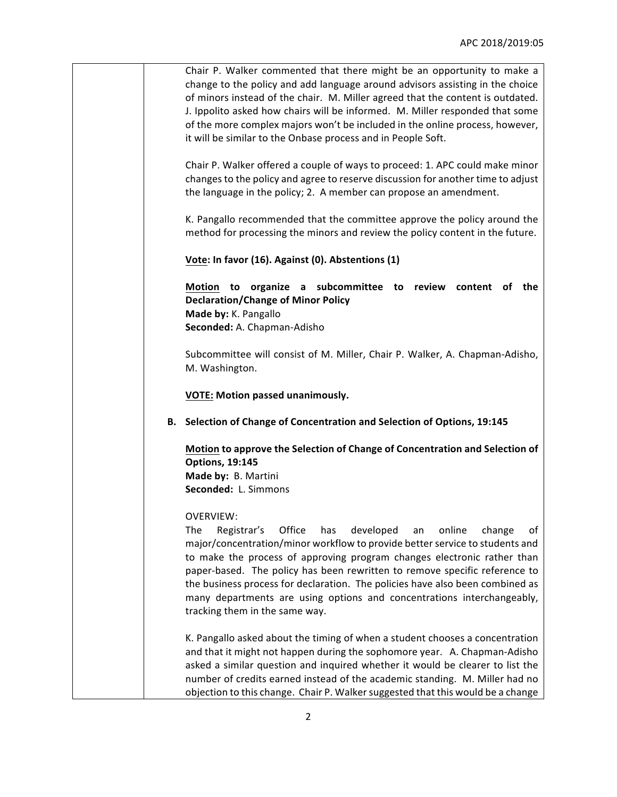| Chair P. Walker commented that there might be an opportunity to make a         |
|--------------------------------------------------------------------------------|
| change to the policy and add language around advisors assisting in the choice  |
| of minors instead of the chair. M. Miller agreed that the content is outdated. |
| J. Ippolito asked how chairs will be informed. M. Miller responded that some   |
| of the more complex majors won't be included in the online process, however,   |
| it will be similar to the Onbase process and in People Soft.                   |

Chair P. Walker offered a couple of ways to proceed: 1. APC could make minor changes to the policy and agree to reserve discussion for another time to adjust the language in the policy; 2. A member can propose an amendment.

K. Pangallo recommended that the committee approve the policy around the method for processing the minors and review the policy content in the future.

**Vote: In favor (16). Against (0). Abstentions (1)** 

**Motion** to organize a subcommittee to review content of the **Declaration/Change of Minor Policy Made by:** K. Pangallo Seconded: A. Chapman-Adisho

Subcommittee will consist of M. Miller, Chair P. Walker, A. Chapman-Adisho, M. Washington.

**VOTE: Motion passed unanimously.**

**B. Selection of Change of Concentration and Selection of Options, 19:145**

**Motion to approve the Selection of Change of Concentration and Selection of Options, 19:145 Made by: B. Martini Seconded:** L. Simmons

OVERVIEW:

The Registrar's Office has developed an online change of major/concentration/minor workflow to provide better service to students and to make the process of approving program changes electronic rather than paper-based. The policy has been rewritten to remove specific reference to the business process for declaration. The policies have also been combined as many departments are using options and concentrations interchangeably, tracking them in the same way.

K. Pangallo asked about the timing of when a student chooses a concentration and that it might not happen during the sophomore year. A. Chapman-Adisho asked a similar question and inquired whether it would be clearer to list the number of credits earned instead of the academic standing. M. Miller had no objection to this change. Chair P. Walker suggested that this would be a change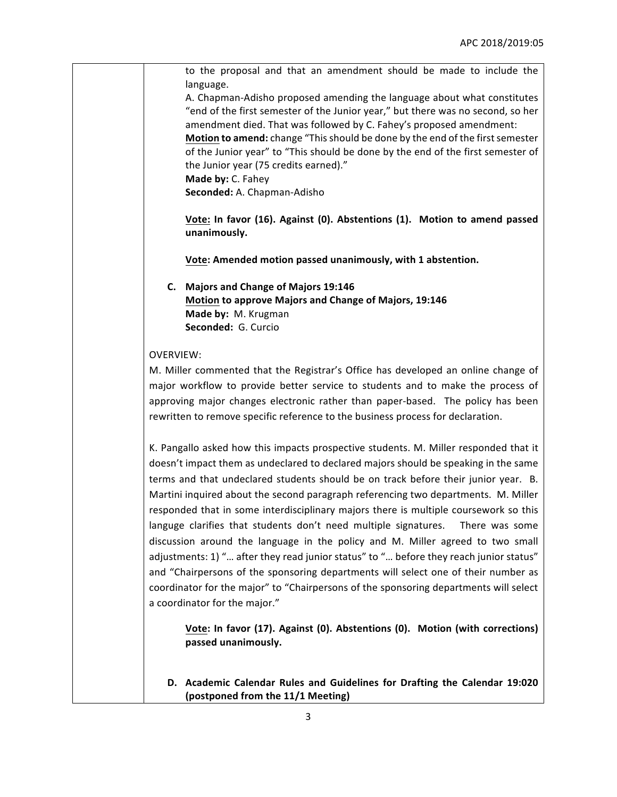| to the proposal and that an amendment should be made to include the<br>language.       |
|----------------------------------------------------------------------------------------|
| A. Chapman-Adisho proposed amending the language about what constitutes                |
| "end of the first semester of the Junior year," but there was no second, so her        |
|                                                                                        |
| amendment died. That was followed by C. Fahey's proposed amendment:                    |
| Motion to amend: change "This should be done by the end of the first semester          |
| of the Junior year" to "This should be done by the end of the first semester of        |
| the Junior year (75 credits earned)."                                                  |
| Made by: C. Fahey                                                                      |
| Seconded: A. Chapman-Adisho                                                            |
| Vote: In favor (16). Against (0). Abstentions (1). Motion to amend passed              |
| unanimously.                                                                           |
| Vote: Amended motion passed unanimously, with 1 abstention.                            |
| C. Majors and Change of Majors 19:146                                                  |
| Motion to approve Majors and Change of Majors, 19:146                                  |
| Made by: M. Krugman                                                                    |
| Seconded: G. Curcio                                                                    |
|                                                                                        |
| <b>OVERVIEW:</b>                                                                       |
| M. Miller commented that the Registrar's Office has developed an online change of      |
| major workflow to provide better service to students and to make the process of        |
| approving major changes electronic rather than paper-based. The policy has been        |
| rewritten to remove specific reference to the business process for declaration.        |
|                                                                                        |
| K. Pangallo asked how this impacts prospective students. M. Miller responded that it   |
|                                                                                        |
| doesn't impact them as undeclared to declared majors should be speaking in the same    |
| terms and that undeclared students should be on track before their junior year. B.     |
| Martini inquired about the second paragraph referencing two departments. M. Miller     |
| responded that in some interdisciplinary majors there is multiple coursework so this   |
| languge clarifies that students don't need multiple signatures.<br>There was some      |
| discussion around the language in the policy and M. Miller agreed to two small         |
| adjustments: 1) " after they read junior status" to " before they reach junior status" |
|                                                                                        |
| and "Chairpersons of the sponsoring departments will select one of their number as     |
| coordinator for the major" to "Chairpersons of the sponsoring departments will select  |
| a coordinator for the major."                                                          |
| Vote: In favor (17). Against (0). Abstentions (0). Motion (with corrections)           |
| passed unanimously.                                                                    |
|                                                                                        |
|                                                                                        |
| D. Academic Calendar Rules and Guidelines for Drafting the Calendar 19:020             |
| (postponed from the 11/1 Meeting)                                                      |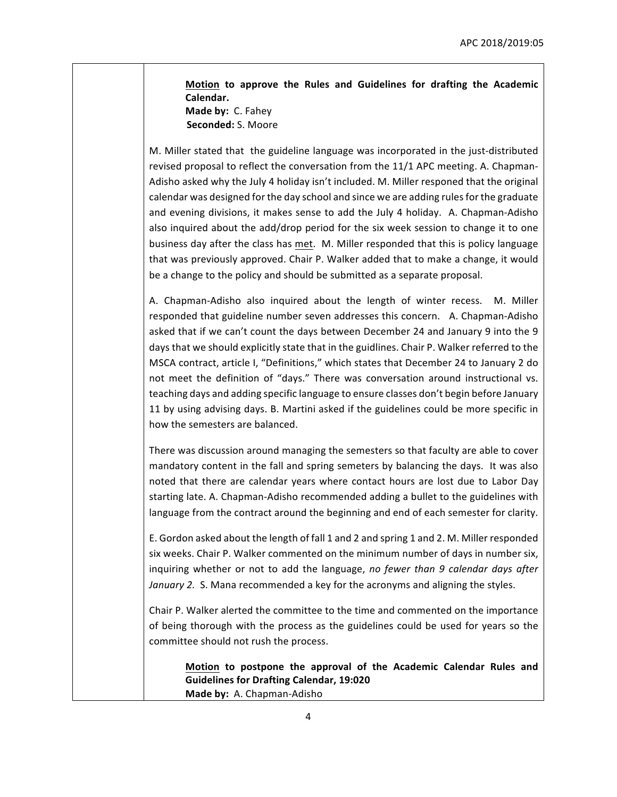**Motion to approve the Rules and Guidelines for drafting the Academic Calendar. Made by: C. Fahey Seconded:** S. Moore

M. Miller stated that the guideline language was incorporated in the just-distributed revised proposal to reflect the conversation from the 11/1 APC meeting. A. Chapman-Adisho asked why the July 4 holiday isn't included. M. Miller responed that the original calendar was designed for the day school and since we are adding rules for the graduate and evening divisions, it makes sense to add the July 4 holiday. A. Chapman-Adisho also inquired about the add/drop period for the six week session to change it to one business day after the class has met. M. Miller responded that this is policy language that was previously approved. Chair P. Walker added that to make a change, it would be a change to the policy and should be submitted as a separate proposal.

A. Chapman-Adisho also inquired about the length of winter recess. M. Miller responded that guideline number seven addresses this concern. A. Chapman-Adisho asked that if we can't count the days between December 24 and January 9 into the 9 days that we should explicitly state that in the guidlines. Chair P. Walker referred to the MSCA contract, article I, "Definitions," which states that December 24 to January 2 do not meet the definition of "days." There was conversation around instructional vs. teaching days and adding specific language to ensure classes don't begin before January 11 by using advising days. B. Martini asked if the guidelines could be more specific in how the semesters are balanced.

There was discussion around managing the semesters so that faculty are able to cover mandatory content in the fall and spring semeters by balancing the days. It was also noted that there are calendar years where contact hours are lost due to Labor Day starting late. A. Chapman-Adisho recommended adding a bullet to the guidelines with language from the contract around the beginning and end of each semester for clarity.

E. Gordon asked about the length of fall 1 and 2 and spring 1 and 2. M. Miller responded six weeks. Chair P. Walker commented on the minimum number of days in number six, inquiring whether or not to add the language, no fewer than 9 calendar days after *January* 2. S. Mana recommended a key for the acronyms and aligning the styles.

Chair P. Walker alerted the committee to the time and commented on the importance of being thorough with the process as the guidelines could be used for years so the committee should not rush the process.

**Motion to postpone the approval of the Academic Calendar Rules and Guidelines for Drafting Calendar, 19:020 Made by: A. Chapman-Adisho**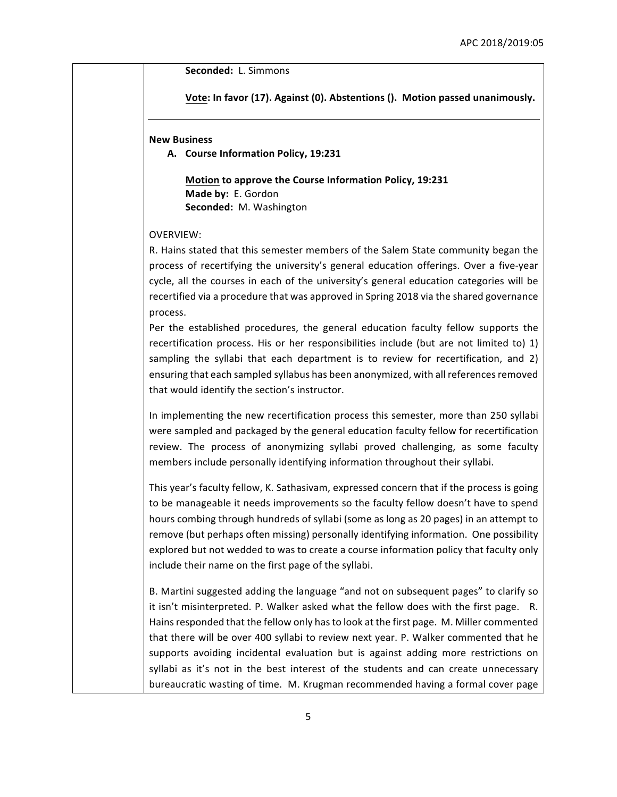**Seconded: L. Simmons** 

Vote: In favor (17). Against (0). Abstentions (). Motion passed unanimously.

## **New Business**

**A. Course Information Policy, 19:231**

**Motion to approve the Course Information Policy, 19:231 Made by: E. Gordon Seconded:** M. Washington

## OVERVIEW:

R. Hains stated that this semester members of the Salem State community began the process of recertifying the university's general education offerings. Over a five-year cycle, all the courses in each of the university's general education categories will be recertified via a procedure that was approved in Spring 2018 via the shared governance process.

Per the established procedures, the general education faculty fellow supports the recertification process. His or her responsibilities include (but are not limited to)  $1$ ) sampling the syllabi that each department is to review for recertification, and 2) ensuring that each sampled syllabus has been anonymized, with all references removed that would identify the section's instructor.

In implementing the new recertification process this semester, more than 250 syllabi were sampled and packaged by the general education faculty fellow for recertification review. The process of anonymizing syllabi proved challenging, as some faculty members include personally identifying information throughout their syllabi.

This year's faculty fellow, K. Sathasivam, expressed concern that if the process is going to be manageable it needs improvements so the faculty fellow doesn't have to spend hours combing through hundreds of syllabi (some as long as 20 pages) in an attempt to remove (but perhaps often missing) personally identifying information. One possibility explored but not wedded to was to create a course information policy that faculty only include their name on the first page of the syllabi.

B. Martini suggested adding the language "and not on subsequent pages" to clarify so it isn't misinterpreted. P. Walker asked what the fellow does with the first page. R. Hains responded that the fellow only has to look at the first page. M. Miller commented that there will be over 400 syllabi to review next year. P. Walker commented that he supports avoiding incidental evaluation but is against adding more restrictions on syllabi as it's not in the best interest of the students and can create unnecessary bureaucratic wasting of time. M. Krugman recommended having a formal cover page